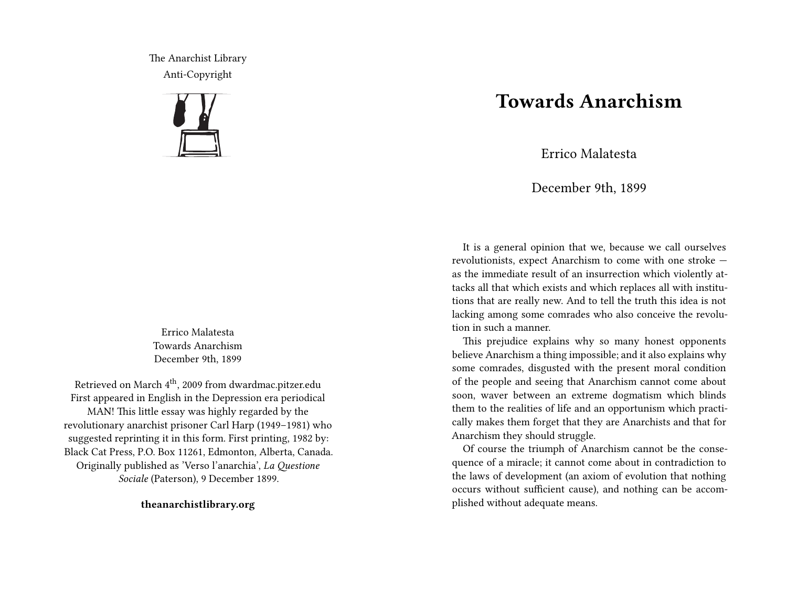The Anarchist Library Anti-Copyright



Errico Malatesta Towards Anarchism December 9th, 1899

Retrieved on March 4<sup>th</sup>, 2009 from dwardmac.pitzer.edu First appeared in English in the Depression era periodical MAN! This little essay was highly regarded by the revolutionary anarchist prisoner Carl Harp (1949–1981) who suggested reprinting it in this form. First printing, 1982 by: Black Cat Press, P.O. Box 11261, Edmonton, Alberta, Canada. Originally published as 'Verso l'anarchia', *La Questione Sociale* (Paterson), 9 December 1899.

**theanarchistlibrary.org**

## **Towards Anarchism**

Errico Malatesta

December 9th, 1899

It is a general opinion that we, because we call ourselves revolutionists, expect Anarchism to come with one stroke as the immediate result of an insurrection which violently attacks all that which exists and which replaces all with institutions that are really new. And to tell the truth this idea is not lacking among some comrades who also conceive the revolution in such a manner.

This prejudice explains why so many honest opponents believe Anarchism a thing impossible; and it also explains why some comrades, disgusted with the present moral condition of the people and seeing that Anarchism cannot come about soon, waver between an extreme dogmatism which blinds them to the realities of life and an opportunism which practically makes them forget that they are Anarchists and that for Anarchism they should struggle.

Of course the triumph of Anarchism cannot be the consequence of a miracle; it cannot come about in contradiction to the laws of development (an axiom of evolution that nothing occurs without sufficient cause), and nothing can be accomplished without adequate means.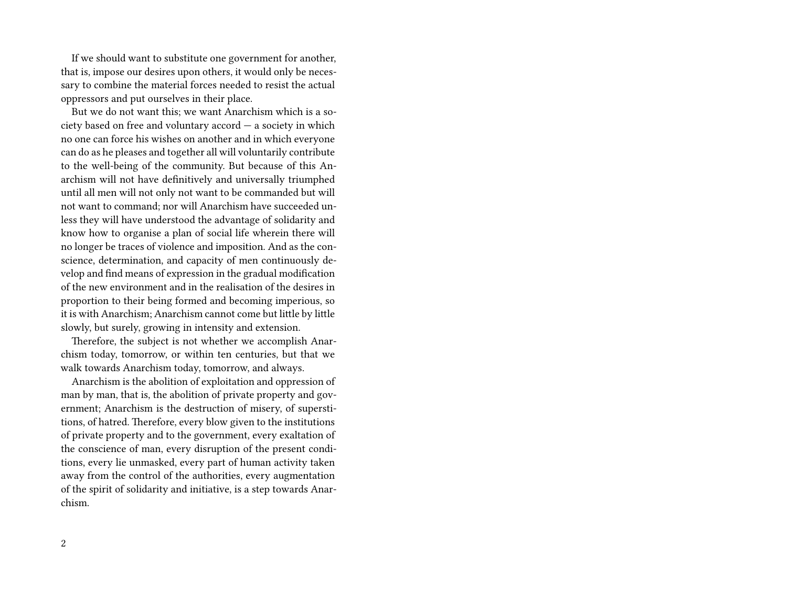If we should want to substitute one government for another, that is, impose our desires upon others, it would only be necessary to combine the material forces needed to resist the actual oppressors and put ourselves in their place.

But we do not want this; we want Anarchism which is a society based on free and voluntary accord — a society in which no one can force his wishes on another and in which everyone can do as he pleases and together all will voluntarily contribute to the well-being of the community. But because of this Anarchism will not have definitively and universally triumphed until all men will not only not want to be commanded but will not want to command; nor will Anarchism have succeeded unless they will have understood the advantage of solidarity and know how to organise a plan of social life wherein there will no longer be traces of violence and imposition. And as the conscience, determination, and capacity of men continuously develop and find means of expression in the gradual modification of the new environment and in the realisation of the desires in proportion to their being formed and becoming imperious, so it is with Anarchism; Anarchism cannot come but little by little slowly, but surely, growing in intensity and extension.

Therefore, the subject is not whether we accomplish Anarchism today, tomorrow, or within ten centuries, but that we walk towards Anarchism today, tomorrow, and always.

Anarchism is the abolition of exploitation and oppression of man by man, that is, the abolition of private property and government; Anarchism is the destruction of misery, of superstitions, of hatred. Therefore, every blow given to the institutions of private property and to the government, every exaltation of the conscience of man, every disruption of the present conditions, every lie unmasked, every part of human activity taken away from the control of the authorities, every augmentation of the spirit of solidarity and initiative, is a step towards Anarchism.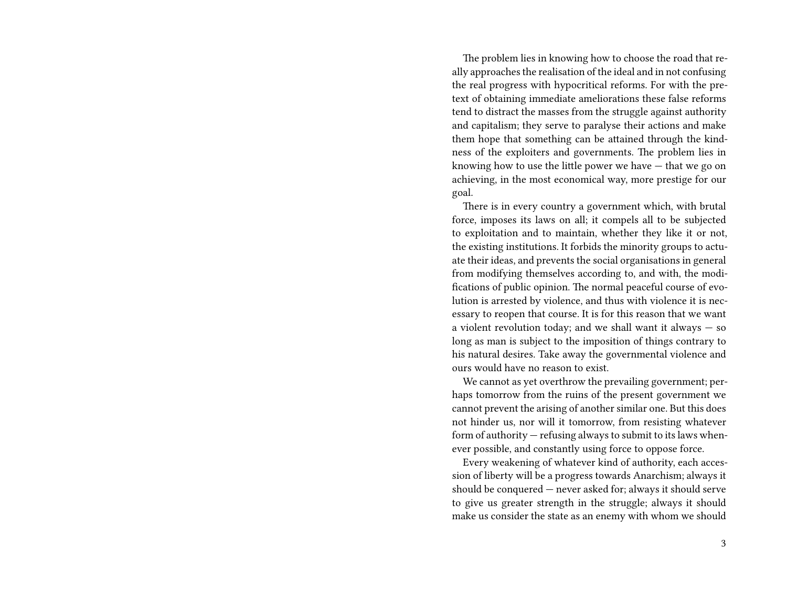The problem lies in knowing how to choose the road that really approaches the realisation of the ideal and in not confusing the real progress with hypocritical reforms. For with the pretext of obtaining immediate ameliorations these false reforms tend to distract the masses from the struggle against authority and capitalism; they serve to paralyse their actions and make them hope that something can be attained through the kindness of the exploiters and governments. The problem lies in knowing how to use the little power we have — that we go on achieving, in the most economical way, more prestige for our goal.

There is in every country a government which, with brutal force, imposes its laws on all; it compels all to be subjected to exploitation and to maintain, whether they like it or not, the existing institutions. It forbids the minority groups to actuate their ideas, and prevents the social organisations in general from modifying themselves according to, and with, the modifications of public opinion. The normal peaceful course of evolution is arrested by violence, and thus with violence it is necessary to reopen that course. It is for this reason that we want a violent revolution today; and we shall want it always — so long as man is subject to the imposition of things contrary to his natural desires. Take away the governmental violence and ours would have no reason to exist.

We cannot as yet overthrow the prevailing government; perhaps tomorrow from the ruins of the present government we cannot prevent the arising of another similar one. But this does not hinder us, nor will it tomorrow, from resisting whatever form of authority — refusing always to submit to its laws whenever possible, and constantly using force to oppose force.

Every weakening of whatever kind of authority, each accession of liberty will be a progress towards Anarchism; always it should be conquered — never asked for; always it should serve to give us greater strength in the struggle; always it should make us consider the state as an enemy with whom we should